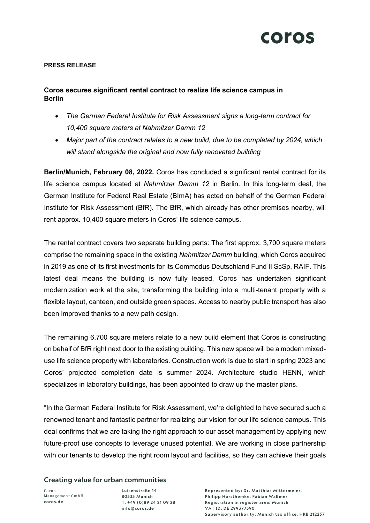

## **PRESS RELEASE**

## **Coros secures significant rental contract to realize life science campus in Berlin**

- *The German Federal Institute for Risk Assessment signs a long-term contract for 10,400 square meters at Nahmitzer Damm 12*
- *Major part of the contract relates to a new build, due to be completed by 2024, which will stand alongside the original and now fully renovated building*

**Berlin/Munich, February 08, 2022.** Coros has concluded a significant rental contract for its life science campus located at *Nahmitzer Damm 12* in Berlin. In this long-term deal, the German Institute for Federal Real Estate (BImA) has acted on behalf of the German Federal Institute for Risk Assessment (BfR). The BfR, which already has other premises nearby, will rent approx. 10,400 square meters in Coros' life science campus.

The rental contract covers two separate building parts: The first approx. 3,700 square meters comprise the remaining space in the existing *Nahmitzer Damm* building, which Coros acquired in 2019 as one of its first investments for its Commodus Deutschland Fund II ScSp, RAIF. This latest deal means the building is now fully leased. Coros has undertaken significant modernization work at the site, transforming the building into a multi-tenant property with a flexible layout, canteen, and outside green spaces. Access to nearby public transport has also been improved thanks to a new path design.

The remaining 6,700 square meters relate to a new build element that Coros is constructing on behalf of BfR right next door to the existing building. This new space will be a modern mixeduse life science property with laboratories. Construction work is due to start in spring 2023 and Coros' projected completion date is summer 2024. Architecture studio HENN, which specializes in laboratory buildings, has been appointed to draw up the master plans.

"In the German Federal Institute for Risk Assessment, we're delighted to have secured such a renowned tenant and fantastic partner for realizing our vision for our life science campus. This deal confirms that we are taking the right approach to our asset management by applying new future-proof use concepts to leverage unused potential. We are working in close partnership with our tenants to develop the right room layout and facilities, so they can achieve their goals

Creating value for urban communities

Coros Management GmbH coros.de

Luisenstraße 14 80333 Munich T. +49 (0)89 24 21 09 28 info@coros.de